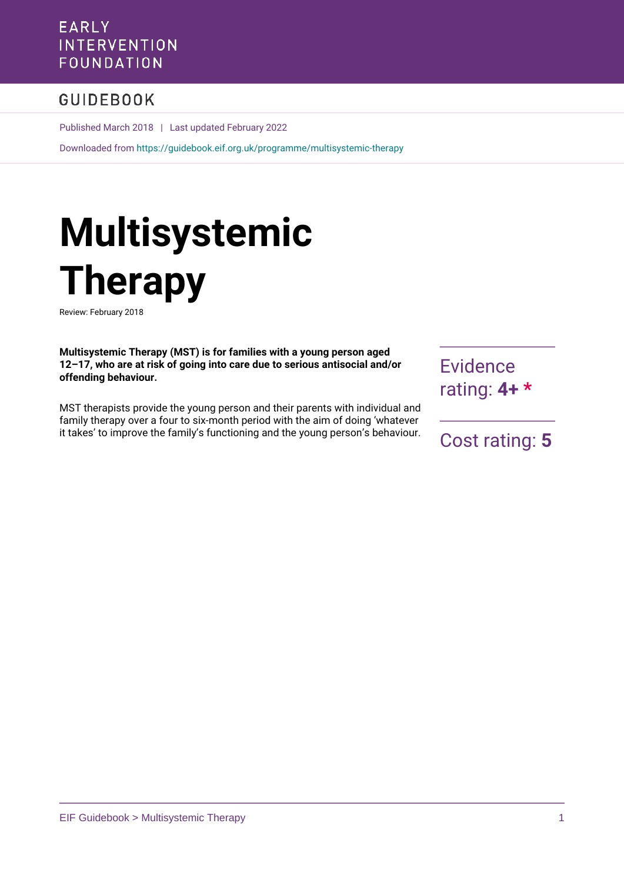# **EARLY INTERVENTION** FOUNDATION

# **GUIDEBOOK**

Published March 2018 | Last updated February 2022

Downloaded from<https://guidebook.eif.org.uk/programme/multisystemic-therapy>

# **Multisystemic Therapy**

Review: February 2018

**Multisystemic Therapy (MST) is for families with a young person aged 12–17, who are at risk of going into care due to serious antisocial and/or offending behaviour.** 

MST therapists provide the young person and their parents with individual and family therapy over a four to six-month period with the aim of doing 'whatever it takes' to improve the family's functioning and the young person's behaviour. **Evidence** rating: **4+ \***

Cost rating: **5**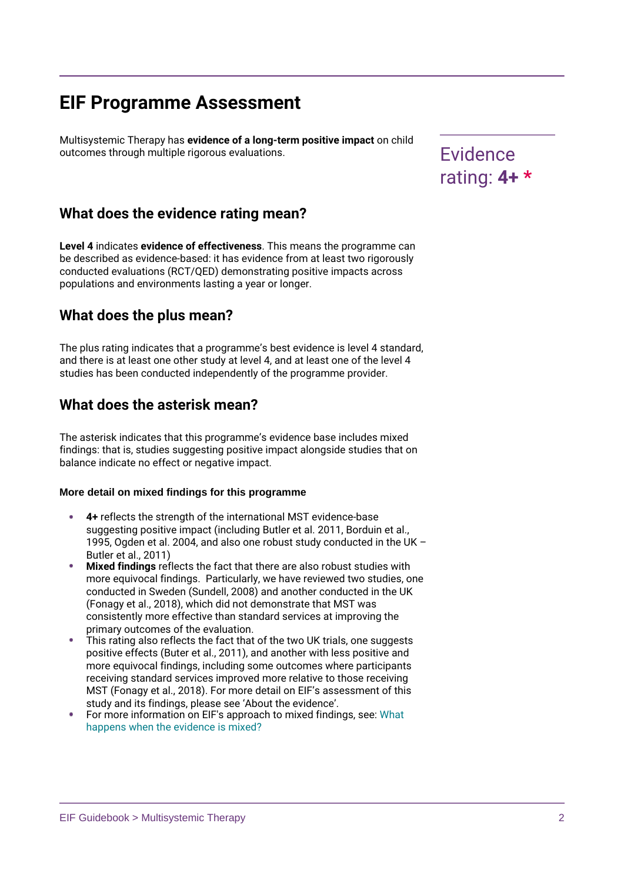# **EIF Programme Assessment**

Multisystemic Therapy has **evidence of a long-term positive impact** on child outcomes through multiple rigorous evaluations. The manufacturer of the evidence

# **What does the evidence rating mean?**

**Level 4** indicates **evidence of effectiveness**. This means the programme can be described as evidence-based: it has evidence from at least two rigorously conducted evaluations (RCT/QED) demonstrating positive impacts across populations and environments lasting a year or longer.

# **What does the plus mean?**

The plus rating indicates that a programme's best evidence is level 4 standard, and there is at least one other study at level 4, and at least one of the level 4 studies has been conducted independently of the programme provider.

# **What does the asterisk mean?**

The asterisk indicates that this programme's evidence base includes mixed findings: that is, studies suggesting positive impact alongside studies that on balance indicate no effect or negative impact.

### **More detail on mixed findings for this programme**

- **4+** reflects the strength of the international MST evidence-base suggesting positive impact (including Butler et al. 2011, Borduin et al., 1995, Ogden et al. 2004, and also one robust study conducted in the UK – Butler et al., 2011)
- **Mixed findings** reflects the fact that there are also robust studies with more equivocal findings. Particularly, we have reviewed two studies, one conducted in Sweden (Sundell, 2008) and another conducted in the UK (Fonagy et al., 2018), which did not demonstrate that MST was consistently more effective than standard services at improving the primary outcomes of the evaluation.
- This rating also reflects the fact that of the two UK trials, one suggests positive effects (Buter et al., 2011), and another with less positive and more equivocal findings, including some outcomes where participants receiving standard services improved more relative to those receiving MST (Fonagy et al., 2018). For more detail on EIF's assessment of this study and its findings, please see 'About the evidence'.
- For more information on EIF's approach to mixed findings, see: [What](https://www.eif.org.uk/blog/what-happens-when-the-evidence-is-mixed) [happens when the evidence is mixed?](https://www.eif.org.uk/blog/what-happens-when-the-evidence-is-mixed)

rating: **4+ \***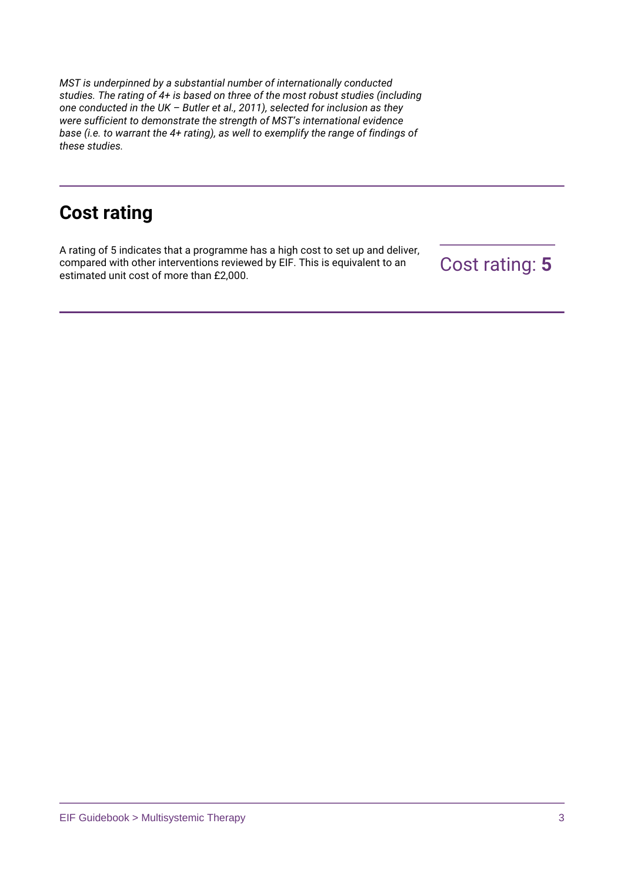*MST is underpinned by a substantial number of internationally conducted studies. The rating of 4+ is based on three of the most robust studies (including one conducted in the UK – Butler et al., 2011), selected for inclusion as they were sufficient to demonstrate the strength of MST's international evidence base (i.e. to warrant the 4+ rating), as well to exemplify the range of findings of these studies.*

# **Cost rating**

A rating of 5 indicates that a programme has a high cost to set up and deliver, compared with other interventions reviewed by EIF. This is equivalent to an estimated unit cost of more than £2,000.

Cost rating: **5**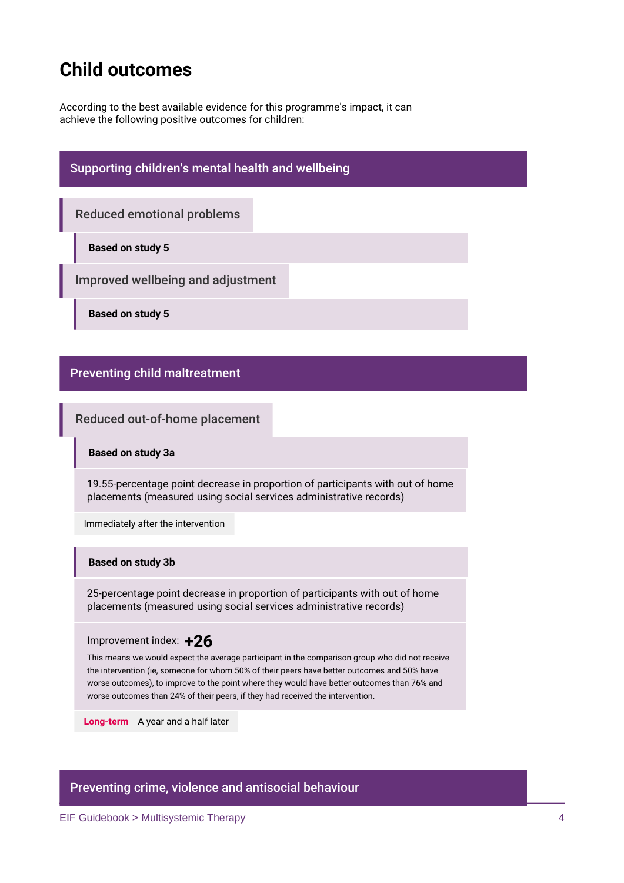# **Child outcomes**

According to the best available evidence for this programme's impact, it can achieve the following positive outcomes for children:

# **Supporting children's mental health and wellbeing**

**Reduced emotional problems**

**Based on study 5**

**Improved wellbeing and adjustment**

**Based on study 5**

## **Preventing child maltreatment**

**Reduced out-of-home placement**

**Based on study 3a**

19.55-percentage point decrease in proportion of participants with out of home placements (measured using social services administrative records)

Immediately after the intervention

### **Based on study 3b**

25-percentage point decrease in proportion of participants with out of home placements (measured using social services administrative records)

Improvement index: **+26**

This means we would expect the average participant in the comparison group who did not receive the intervention (ie, someone for whom 50% of their peers have better outcomes and 50% have worse outcomes), to improve to the point where they would have better outcomes than 76% and worse outcomes than 24% of their peers, if they had received the intervention.

**Long-term** A year and a half later

# **Preventing crime, violence and antisocial behaviour**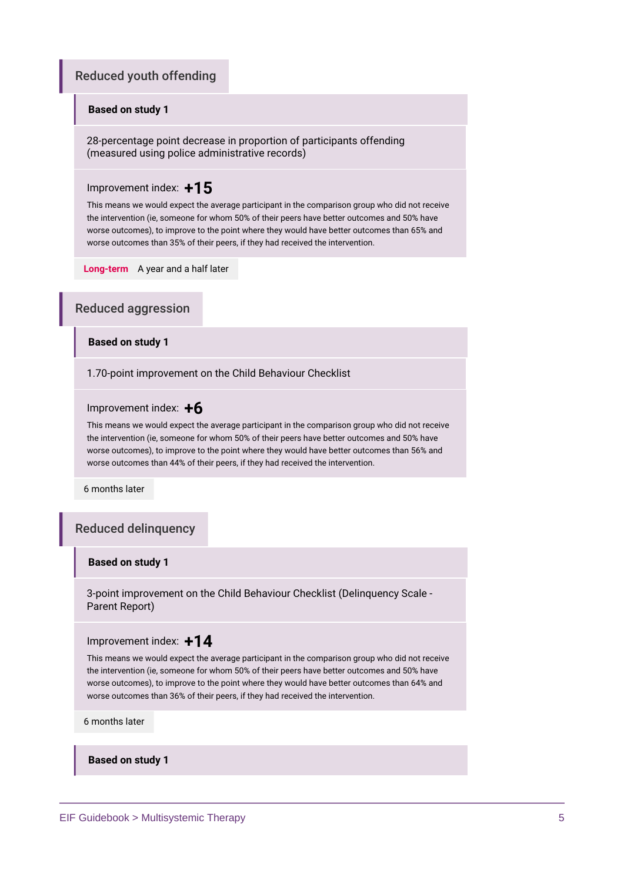# **Reduced youth offending**

### **Based on study 1**

28-percentage point decrease in proportion of participants offending (measured using police administrative records)

### Improvement index: **+15**

This means we would expect the average participant in the comparison group who did not receive the intervention (ie, someone for whom 50% of their peers have better outcomes and 50% have worse outcomes), to improve to the point where they would have better outcomes than 65% and worse outcomes than 35% of their peers, if they had received the intervention.

**Long-term** A year and a half later

### **Reduced aggression**

### **Based on study 1**

1.70-point improvement on the Child Behaviour Checklist

### Improvement index: **+6**

This means we would expect the average participant in the comparison group who did not receive the intervention (ie, someone for whom 50% of their peers have better outcomes and 50% have worse outcomes), to improve to the point where they would have better outcomes than 56% and worse outcomes than 44% of their peers, if they had received the intervention.

6 months later

### **Reduced delinquency**

### **Based on study 1**

3-point improvement on the Child Behaviour Checklist (Delinquency Scale - Parent Report)

#### Improvement index: **+14**

This means we would expect the average participant in the comparison group who did not receive the intervention (ie, someone for whom 50% of their peers have better outcomes and 50% have worse outcomes), to improve to the point where they would have better outcomes than 64% and worse outcomes than 36% of their peers, if they had received the intervention.

6 months later

**Based on study 1**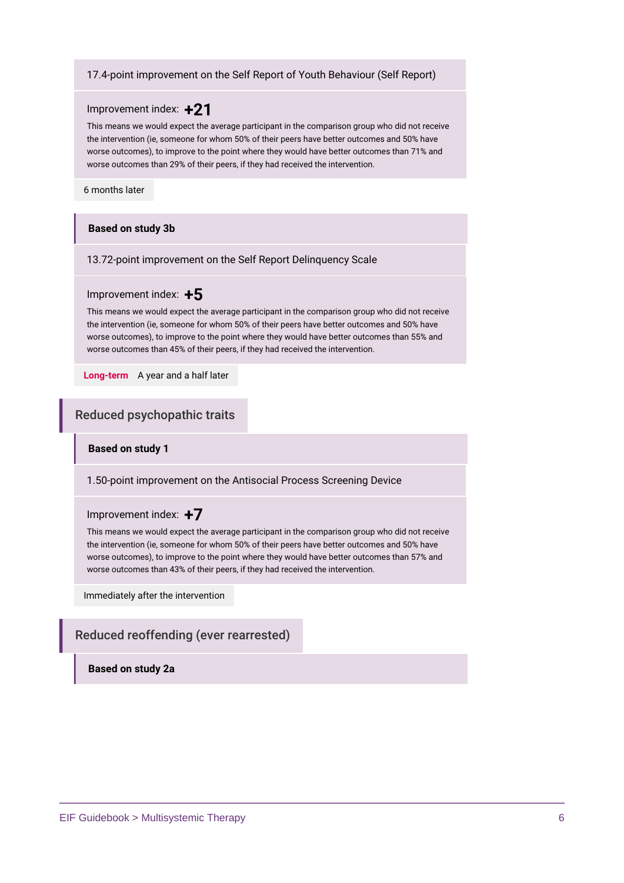### 17.4-point improvement on the Self Report of Youth Behaviour (Self Report)

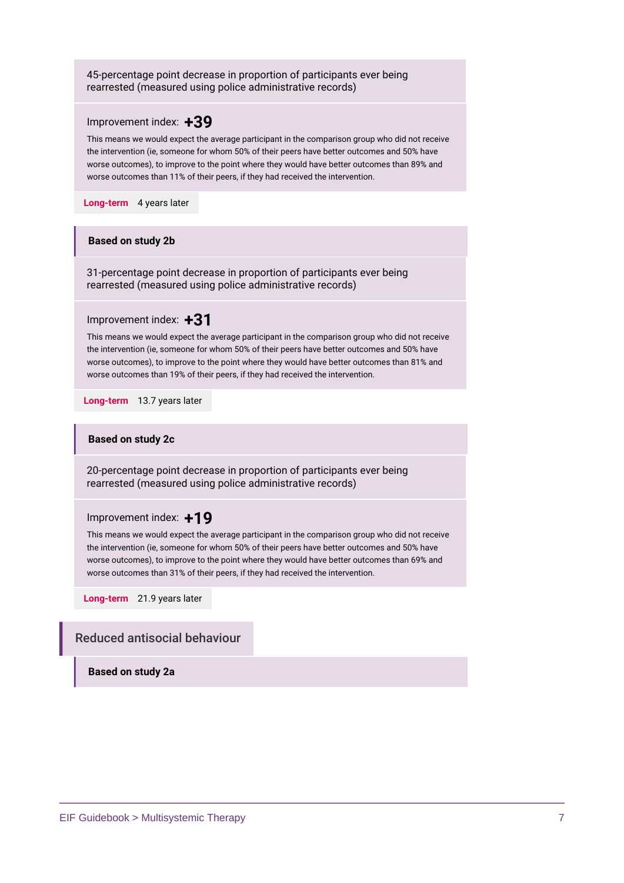| 45-percentage point decrease in proportion of participants ever being<br>rearrested (measured using police administrative records)                                                                                                                                                                                                                                                                         |  |
|------------------------------------------------------------------------------------------------------------------------------------------------------------------------------------------------------------------------------------------------------------------------------------------------------------------------------------------------------------------------------------------------------------|--|
| Improvement index: $+39$<br>This means we would expect the average participant in the comparison group who did not receive<br>the intervention (ie, someone for whom 50% of their peers have better outcomes and 50% have<br>worse outcomes), to improve to the point where they would have better outcomes than 89% and<br>worse outcomes than 11% of their peers, if they had received the intervention. |  |
| 4 years later<br>Long-term                                                                                                                                                                                                                                                                                                                                                                                 |  |
| <b>Based on study 2b</b>                                                                                                                                                                                                                                                                                                                                                                                   |  |
| 31-percentage point decrease in proportion of participants ever being<br>rearrested (measured using police administrative records)                                                                                                                                                                                                                                                                         |  |
| Improvement index: $+31$<br>This means we would expect the average participant in the comparison group who did not receive<br>the intervention (ie, someone for whom 50% of their peers have better outcomes and 50% have<br>worse outcomes), to improve to the point where they would have better outcomes than 81% and<br>worse outcomes than 19% of their peers, if they had received the intervention. |  |
| Long-term 13.7 years later                                                                                                                                                                                                                                                                                                                                                                                 |  |
| <b>Based on study 2c</b>                                                                                                                                                                                                                                                                                                                                                                                   |  |
| 20-percentage point decrease in proportion of participants ever being<br>rearrested (measured using police administrative records)                                                                                                                                                                                                                                                                         |  |
| Improvement index: $+19$<br>This means we would expect the average participant in the comparison group who did not receive<br>the intervention (ie, someone for whom 50% of their peers have better outcomes and 50% have<br>worse outcomes), to improve to the point where they would have better outcomes than 69% and<br>worse outcomes than 31% of their peers, if they had received the intervention. |  |
| Long-term 21.9 years later                                                                                                                                                                                                                                                                                                                                                                                 |  |
| <b>Reduced antisocial behaviour</b>                                                                                                                                                                                                                                                                                                                                                                        |  |
| <b>Based on study 2a</b>                                                                                                                                                                                                                                                                                                                                                                                   |  |
|                                                                                                                                                                                                                                                                                                                                                                                                            |  |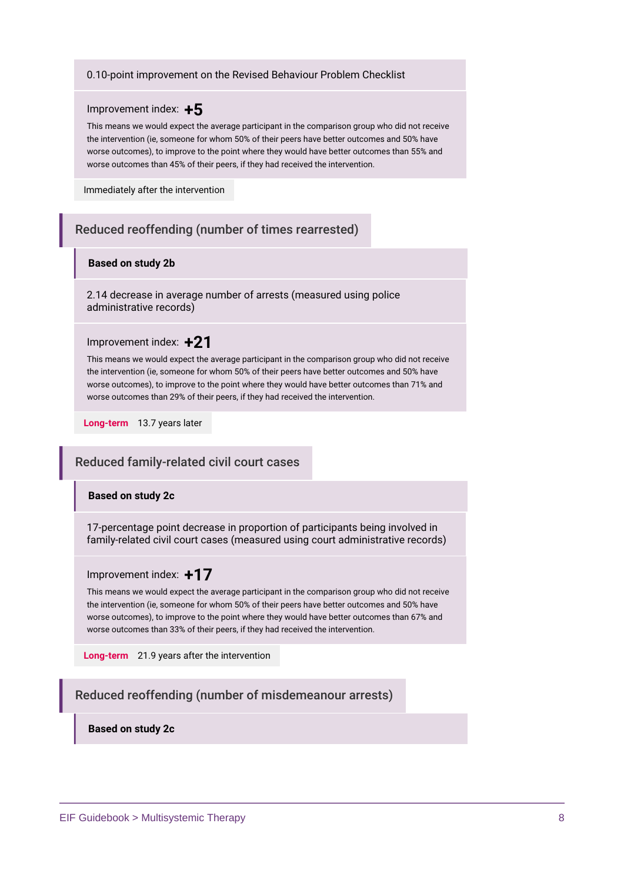#### 0.10-point improvement on the Revised Behaviour Problem Checklist



This means we would expect the average participant in the comparison group who did not receive the intervention (ie, someone for whom 50% of their peers have better outcomes and 50% have worse outcomes), to improve to the point where they would have better outcomes than 55% and worse outcomes than 45% of their peers, if they had received the intervention.

Immediately after the intervention

# **Reduced reoffending (number of times rearrested)**

### **Based on study 2b**

2.14 decrease in average number of arrests (measured using police administrative records)

### Improvement index: **+21**

This means we would expect the average participant in the comparison group who did not receive the intervention (ie, someone for whom 50% of their peers have better outcomes and 50% have worse outcomes), to improve to the point where they would have better outcomes than 71% and worse outcomes than 29% of their peers, if they had received the intervention.

**Long-term** 13.7 years later

### **Reduced family-related civil court cases**

#### **Based on study 2c**

17-percentage point decrease in proportion of participants being involved in family-related civil court cases (measured using court administrative records)

### Improvement index: **+17**

This means we would expect the average participant in the comparison group who did not receive the intervention (ie, someone for whom 50% of their peers have better outcomes and 50% have worse outcomes), to improve to the point where they would have better outcomes than 67% and worse outcomes than 33% of their peers, if they had received the intervention.

**Long-term** 21.9 years after the intervention

# **Reduced reoffending (number of misdemeanour arrests)**

**Based on study 2c**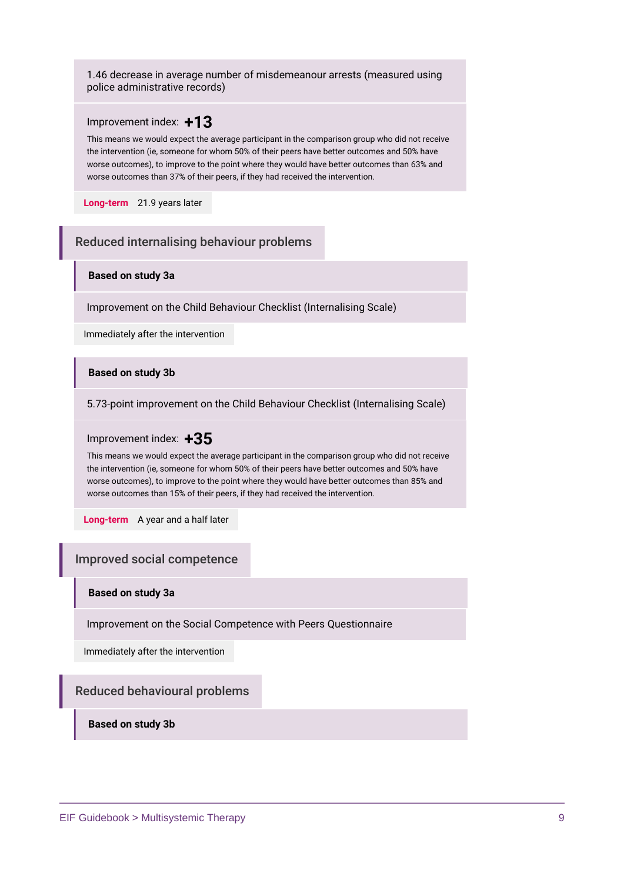1.46 decrease in average number of misdemeanour arrests (measured using police administrative records)

### Improvement index: **+13**

This means we would expect the average participant in the comparison group who did not receive the intervention (ie, someone for whom 50% of their peers have better outcomes and 50% have worse outcomes), to improve to the point where they would have better outcomes than 63% and worse outcomes than 37% of their peers, if they had received the intervention.

**Long-term** 21.9 years later

### **Reduced internalising behaviour problems**

### **Based on study 3a**

Improvement on the Child Behaviour Checklist (Internalising Scale)

Immediately after the intervention

### **Based on study 3b**

5.73-point improvement on the Child Behaviour Checklist (Internalising Scale)

### Improvement index: **+35**

This means we would expect the average participant in the comparison group who did not receive the intervention (ie, someone for whom 50% of their peers have better outcomes and 50% have worse outcomes), to improve to the point where they would have better outcomes than 85% and worse outcomes than 15% of their peers, if they had received the intervention.

**Long-term** A year and a half later

### **Improved social competence**

### **Based on study 3a**

Improvement on the Social Competence with Peers Questionnaire

Immediately after the intervention

### **Reduced behavioural problems**

**Based on study 3b**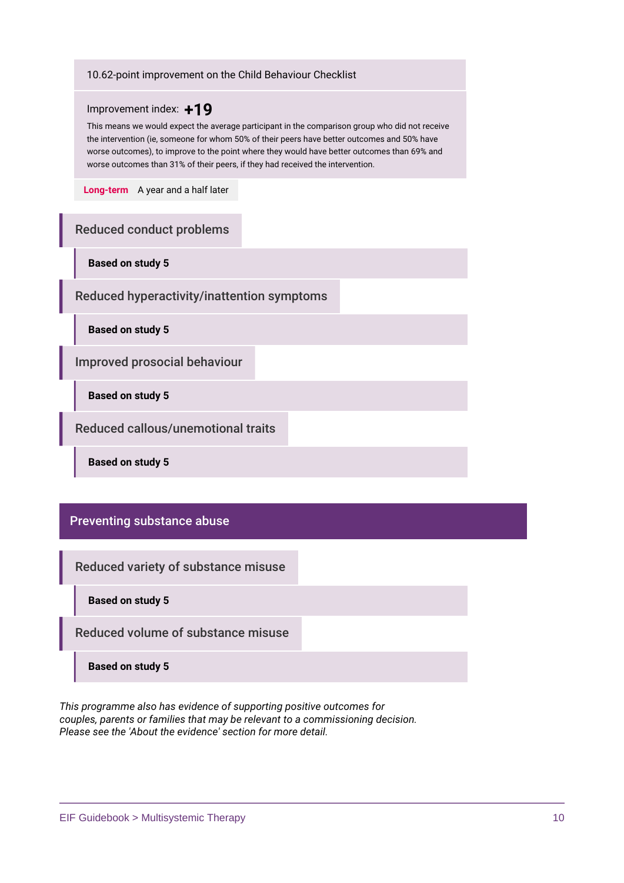### 10.62-point improvement on the Child Behaviour Checklist



This means we would expect the average participant in the comparison group who did not receive the intervention (ie, someone for whom 50% of their peers have better outcomes and 50% have worse outcomes), to improve to the point where they would have better outcomes than 69% and worse outcomes than 31% of their peers, if they had received the intervention.

**Long-term** A year and a half later

# **Reduced conduct problems**

**Based on study 5**

**Reduced hyperactivity/inattention symptoms**

**Based on study 5**

**Improved prosocial behaviour**

**Based on study 5**

**Reduced callous/unemotional traits**

**Based on study 5**

### **Preventing substance abuse**

**Reduced variety of substance misuse**

**Based on study 5**

**Reduced volume of substance misuse**

**Based on study 5**

*This programme also has evidence of supporting positive outcomes for couples, parents or families that may be relevant to a commissioning decision. Please see the 'About the evidence' section for more detail.*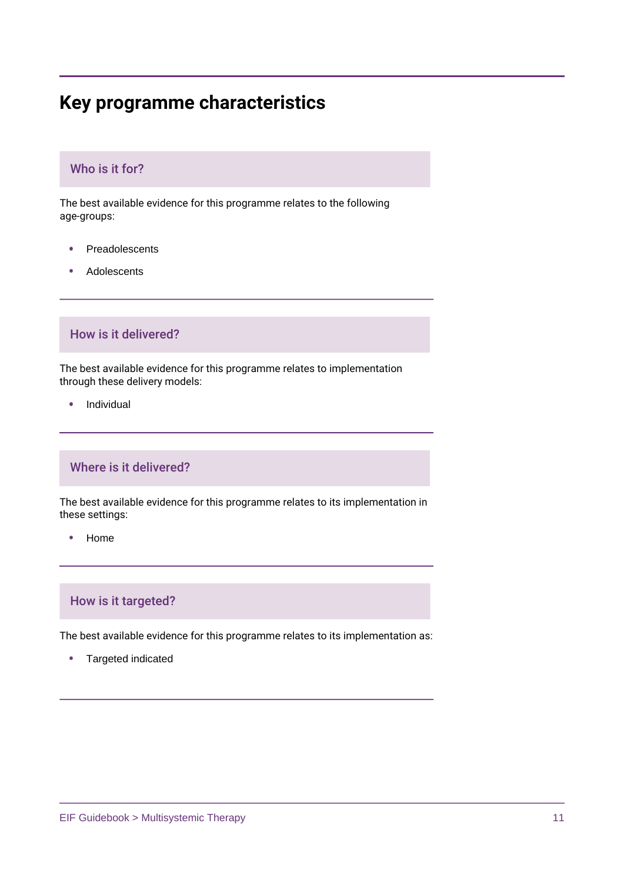# **Key programme characteristics**

# **Who is it for?**

The best available evidence for this programme relates to the following age-groups:

- Preadolescents ٠
- Adolescents

### **How is it delivered?**

The best available evidence for this programme relates to implementation through these delivery models:

Individual

# **Where is it delivered?**

The best available evidence for this programme relates to its implementation in these settings:

• Home

# **How is it targeted?**

The best available evidence for this programme relates to its implementation as:

٠ Targeted indicated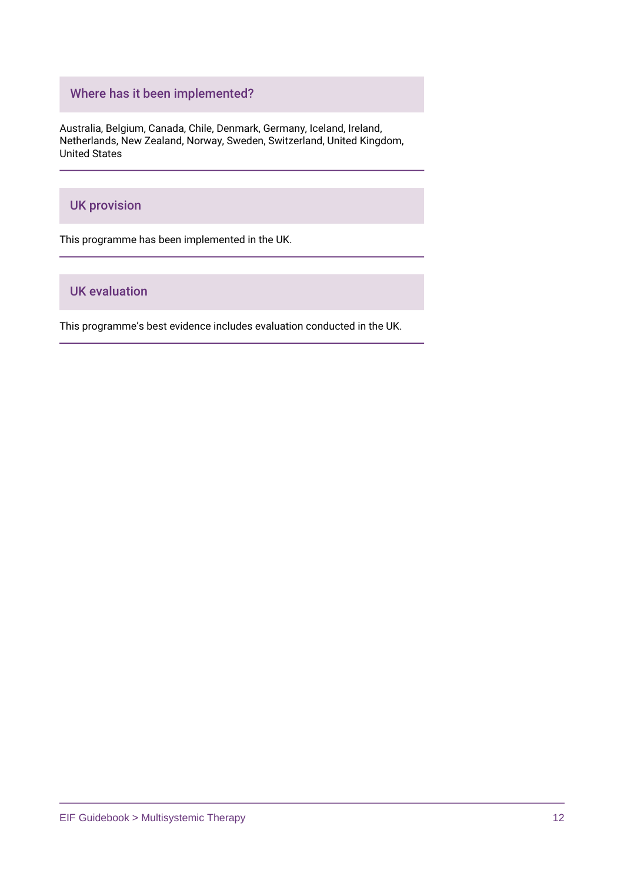# **Where has it been implemented?**

Australia, Belgium, Canada, Chile, Denmark, Germany, Iceland, Ireland, Netherlands, New Zealand, Norway, Sweden, Switzerland, United Kingdom, United States

# **UK provision**

This programme has been implemented in the UK.

# **UK evaluation**

This programme's best evidence includes evaluation conducted in the UK.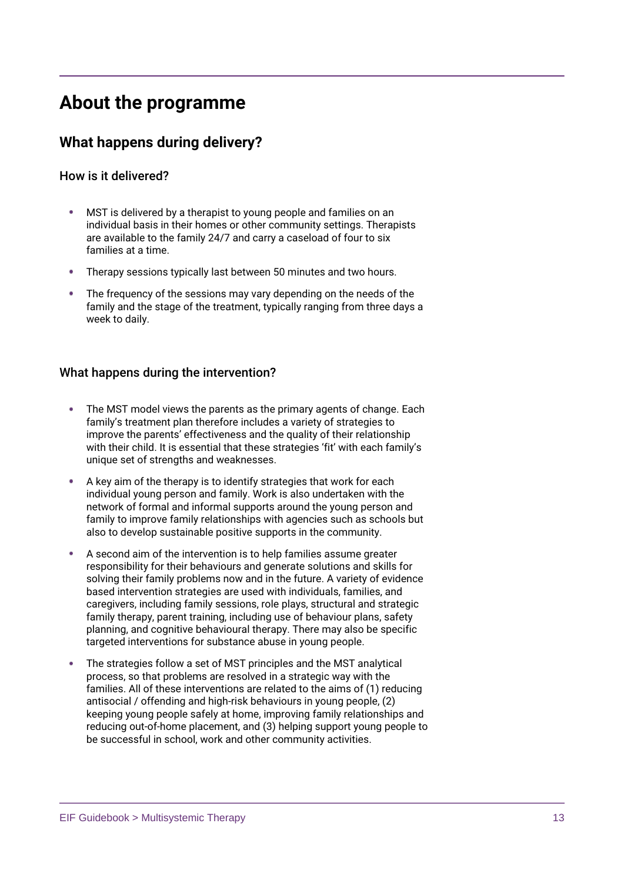# **About the programme**

# **What happens during delivery?**

# **How is it delivered?**

- MST is delivered by a therapist to young people and families on an individual basis in their homes or other community settings. Therapists are available to the family 24/7 and carry a caseload of four to six families at a time.
- Therapy sessions typically last between 50 minutes and two hours.
- The frequency of the sessions may vary depending on the needs of the family and the stage of the treatment, typically ranging from three days a week to daily.

## **What happens during the intervention?**

- The MST model views the parents as the primary agents of change. Each family's treatment plan therefore includes a variety of strategies to improve the parents' effectiveness and the quality of their relationship with their child. It is essential that these strategies 'fit' with each family's unique set of strengths and weaknesses.
- A key aim of the therapy is to identify strategies that work for each individual young person and family. Work is also undertaken with the network of formal and informal supports around the young person and family to improve family relationships with agencies such as schools but also to develop sustainable positive supports in the community.
- A second aim of the intervention is to help families assume greater responsibility for their behaviours and generate solutions and skills for solving their family problems now and in the future. A variety of evidence based intervention strategies are used with individuals, families, and caregivers, including family sessions, role plays, structural and strategic family therapy, parent training, including use of behaviour plans, safety planning, and cognitive behavioural therapy. There may also be specific targeted interventions for substance abuse in young people.
- The strategies follow a set of MST principles and the MST analytical process, so that problems are resolved in a strategic way with the families. All of these interventions are related to the aims of (1) reducing antisocial / offending and high-risk behaviours in young people, (2) keeping young people safely at home, improving family relationships and reducing out-of-home placement, and (3) helping support young people to be successful in school, work and other community activities.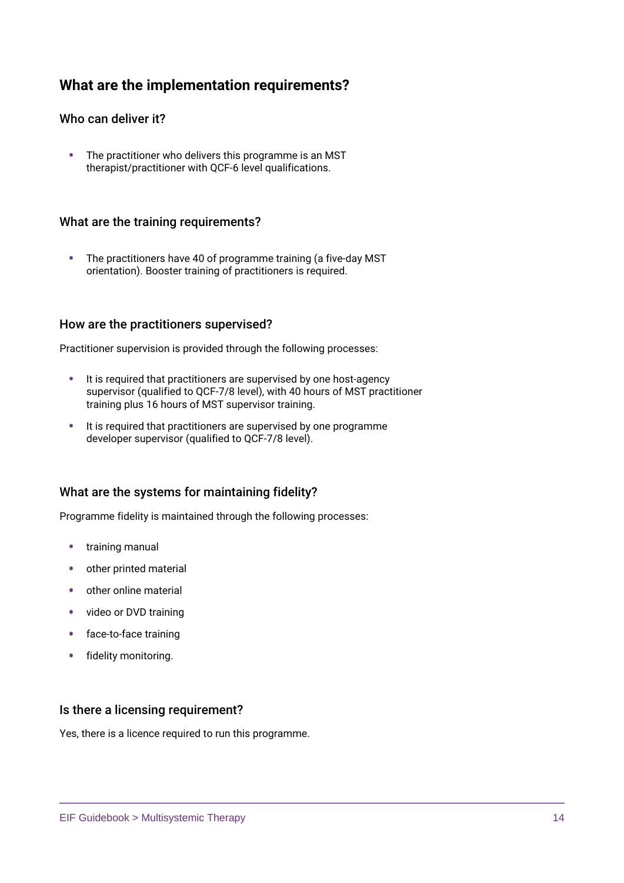# **What are the implementation requirements?**

# **Who can deliver it?**

The practitioner who delivers this programme is an MST therapist/practitioner with QCF-6 level qualifications.

## **What are the training requirements?**

The practitioners have 40 of programme training (a five-day MST orientation). Booster training of practitioners is required.

## **How are the practitioners supervised?**

Practitioner supervision is provided through the following processes:

- **It is required that practitioners are supervised by one host-agency** supervisor (qualified to QCF-7/8 level), with 40 hours of MST practitioner training plus 16 hours of MST supervisor training.
- It is required that practitioners are supervised by one programme developer supervisor (qualified to QCF-7/8 level).

# **What are the systems for maintaining fidelity?**

Programme fidelity is maintained through the following processes:

- **•** training manual
- other printed material
- other online material
- video or DVD training
- face-to-face training
- fidelity monitoring.

### **Is there a licensing requirement?**

Yes, there is a licence required to run this programme.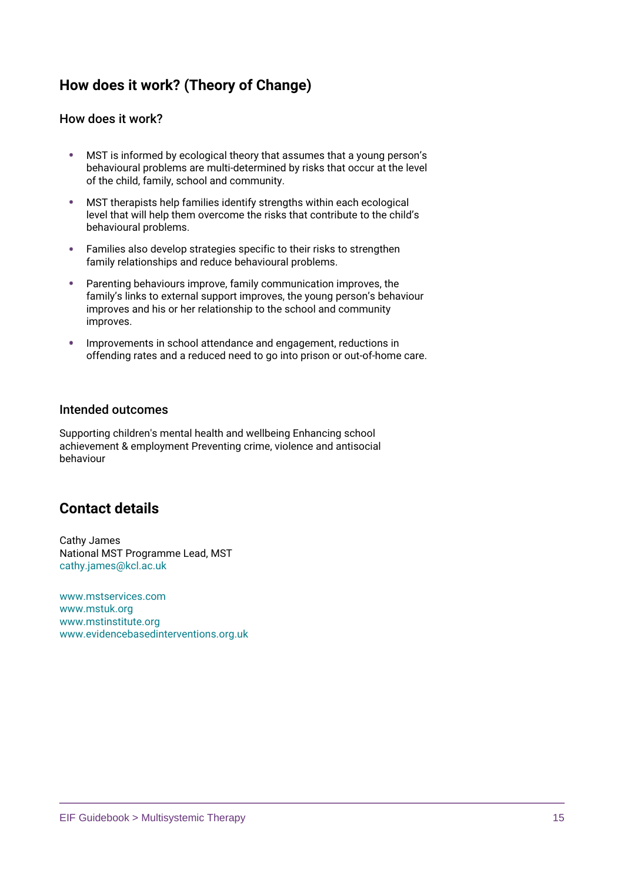# **How does it work? (Theory of Change)**

## **How does it work?**

- MST is informed by ecological theory that assumes that a young person's behavioural problems are multi-determined by risks that occur at the level of the child, family, school and community.
- MST therapists help families identify strengths within each ecological level that will help them overcome the risks that contribute to the child's behavioural problems.
- Families also develop strategies specific to their risks to strengthen family relationships and reduce behavioural problems.
- Parenting behaviours improve, family communication improves, the family's links to external support improves, the young person's behaviour improves and his or her relationship to the school and community improves.
- Improvements in school attendance and engagement, reductions in offending rates and a reduced need to go into prison or out-of-home care.

## **Intended outcomes**

Supporting children's mental health and wellbeing Enhancing school achievement & employment Preventing crime, violence and antisocial behaviour

# **Contact details**

Cathy James National MST Programme Lead, MST [cathy.james@kcl.ac.uk](mailto:Cathy.James@kcl.ac.uk)

[www.mstservices.com](https://www.mstservices.com/) [www.mstuk.org](http://www.mstuk.org/) [www.mstinstitute.org](https://msti.org/mstinstitute/) [www.evidencebasedinterventions.org.uk](https://www.evidencebasedinterventions.org.uk/)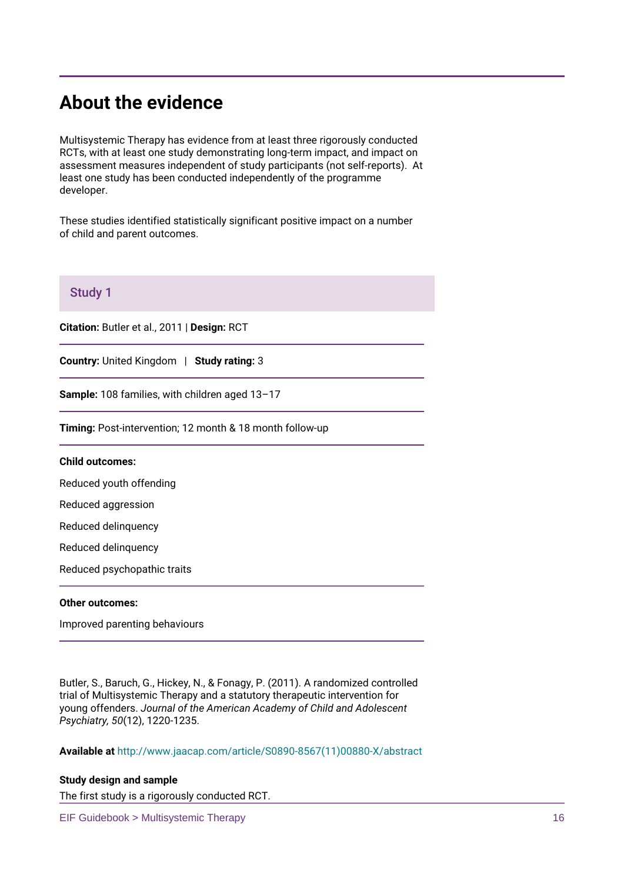# **About the evidence**

Multisystemic Therapy has evidence from at least three rigorously conducted RCTs, with at least one study demonstrating long-term impact, and impact on assessment measures independent of study participants (not self-reports). At least one study has been conducted independently of the programme developer.

These studies identified statistically significant positive impact on a number of child and parent outcomes.

# **Study 1**

**Citation:** Butler et al., 2011 | **Design:** RCT

**Country:** United Kingdom | **Study rating:** 3

**Sample:** 108 families, with children aged 13–17

**Timing:** Post-intervention; 12 month & 18 month follow-up

### **Child outcomes:**

Reduced youth offending

Reduced aggression

Reduced delinquency

Reduced delinquency

Reduced psychopathic traits

### **Other outcomes:**

Improved parenting behaviours

Butler, S., Baruch, G., Hickey, N., & Fonagy, P. (2011). A randomized controlled trial of Multisystemic Therapy and a statutory therapeutic intervention for young offenders. *Journal of the American Academy of Child and Adolescent Psychiatry, 50*(12), 1220-1235.

**Available at** [http://www.jaacap.com/article/S0890-8567\(11\)00880-X/abstract](http://www.jaacap.com/article/S0890-8567(11)00880-X/abstract)

### **Study design and sample**

The first study is a rigorously conducted RCT.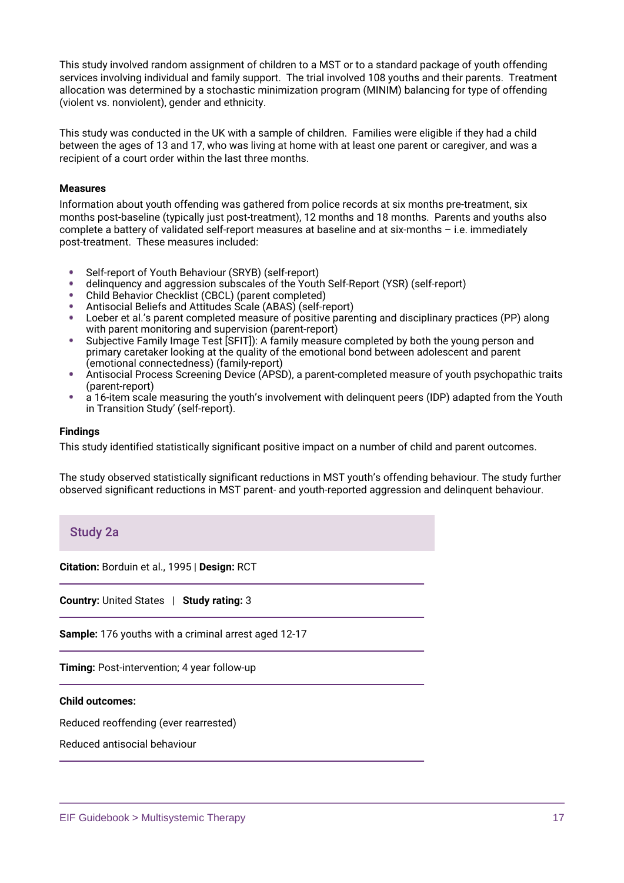This study involved random assignment of children to a MST or to a standard package of youth offending services involving individual and family support. The trial involved 108 youths and their parents. Treatment allocation was determined by a stochastic minimization program (MINIM) balancing for type of offending (violent vs. nonviolent), gender and ethnicity.

This study was conducted in the UK with a sample of children. Families were eligible if they had a child between the ages of 13 and 17, who was living at home with at least one parent or caregiver, and was a recipient of a court order within the last three months.

### **Measures**

Information about youth offending was gathered from police records at six months pre-treatment, six months post-baseline (typically just post-treatment), 12 months and 18 months. Parents and youths also complete a battery of validated self-report measures at baseline and at six-months – i.e. immediately post-treatment. These measures included:

- Self-report of Youth Behaviour (SRYB) (self-report)
- delinquency and aggression subscales of the Youth Self-Report (YSR) (self-report)
- Child Behavior Checklist (CBCL) (parent completed)
- Antisocial Beliefs and Attitudes Scale (ABAS) (self-report)
- Loeber et al.'s parent completed measure of positive parenting and disciplinary practices (PP) along with parent monitoring and supervision (parent-report)
- Subjective Family Image Test [SFIT]): A family measure completed by both the young person and primary caretaker looking at the quality of the emotional bond between adolescent and parent (emotional connectedness) (family-report)
- Antisocial Process Screening Device (APSD), a parent-completed measure of youth psychopathic traits  $\bullet$ (parent-report)
- $\bullet$ a 16-item scale measuring the youth's involvement with delinquent peers (IDP) adapted from the Youth in Transition Study' (self-report).

### **Findings**

This study identified statistically significant positive impact on a number of child and parent outcomes.

The study observed statistically significant reductions in MST youth's offending behaviour. The study further observed significant reductions in MST parent- and youth-reported aggression and delinquent behaviour.

# **Study 2a**

**Citation:** Borduin et al., 1995 | **Design:** RCT

**Country:** United States | **Study rating:** 3

**Sample:** 176 youths with a criminal arrest aged 12-17

**Timing:** Post-intervention; 4 year follow-up

### **Child outcomes:**

Reduced reoffending (ever rearrested)

Reduced antisocial behaviour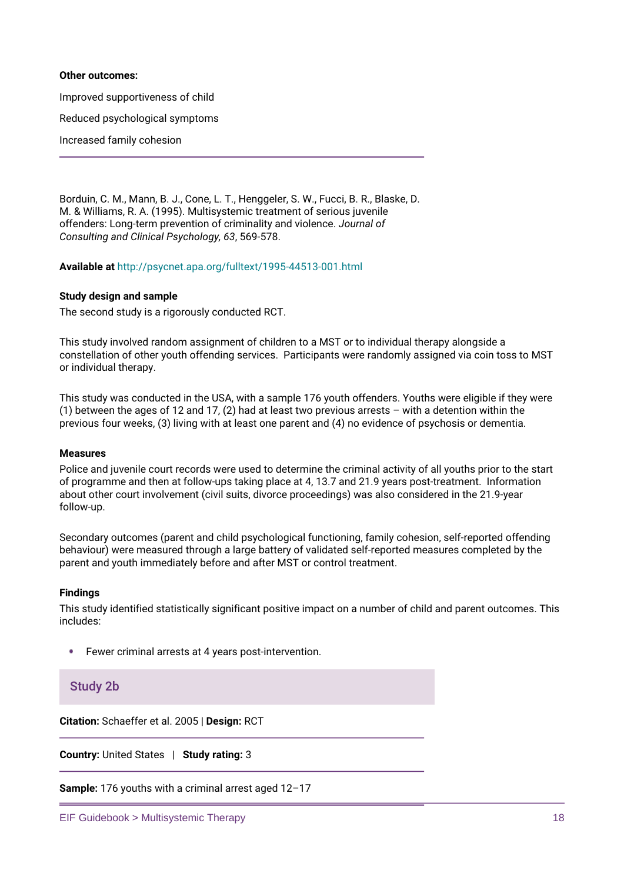### **Other outcomes:**

Improved supportiveness of child

Reduced psychological symptoms

Increased family cohesion

Borduin, C. M., Mann, B. J., Cone, L. T., Henggeler, S. W., Fucci, B. R., Blaske, D. M. & Williams, R. A. (1995). Multisystemic treatment of serious juvenile offenders: Long-term prevention of criminality and violence. *Journal of Consulting and Clinical Psychology, 63*, 569-578.

**Available at** <http://psycnet.apa.org/fulltext/1995-44513-001.html>

### **Study design and sample**

The second study is a rigorously conducted RCT.

This study involved random assignment of children to a MST or to individual therapy alongside a constellation of other youth offending services. Participants were randomly assigned via coin toss to MST or individual therapy.

This study was conducted in the USA, with a sample 176 youth offenders. Youths were eligible if they were (1) between the ages of 12 and 17, (2) had at least two previous arrests – with a detention within the previous four weeks, (3) living with at least one parent and (4) no evidence of psychosis or dementia.

### **Measures**

Police and juvenile court records were used to determine the criminal activity of all youths prior to the start of programme and then at follow-ups taking place at 4, 13.7 and 21.9 years post-treatment. Information about other court involvement (civil suits, divorce proceedings) was also considered in the 21.9-year follow-up.

Secondary outcomes (parent and child psychological functioning, family cohesion, self-reported offending behaviour) were measured through a large battery of validated self-reported measures completed by the parent and youth immediately before and after MST or control treatment.

### **Findings**

This study identified statistically significant positive impact on a number of child and parent outcomes. This includes:

 $\bullet$ Fewer criminal arrests at 4 years post-intervention.

### **Study 2b**

**Citation:** Schaeffer et al. 2005 | **Design:** RCT

**Country:** United States | **Study rating:** 3

**Sample:** 176 youths with a criminal arrest aged 12–17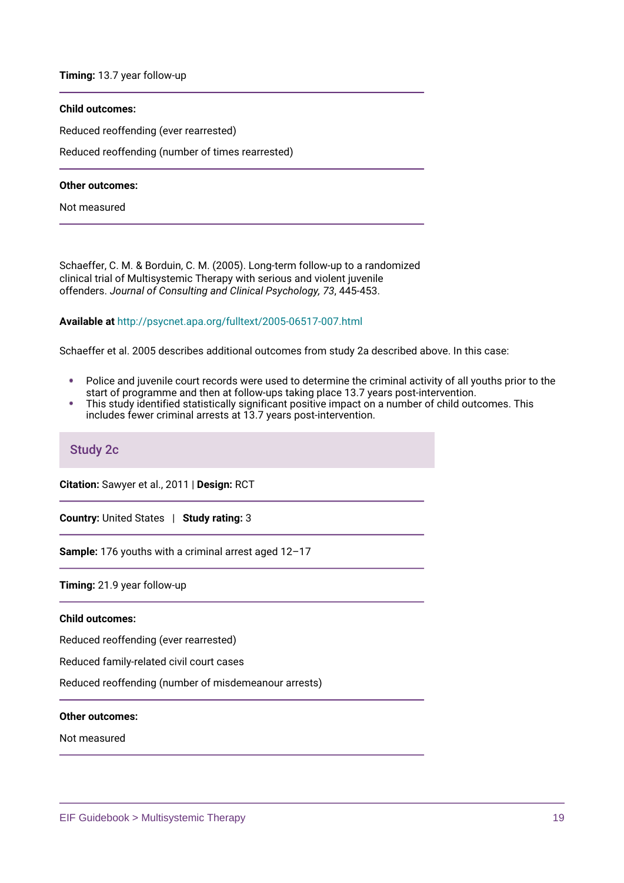**Timing:** 13.7 year follow-up

### **Child outcomes:**

Reduced reoffending (ever rearrested)

Reduced reoffending (number of times rearrested)

### **Other outcomes:**

Not measured

Schaeffer, C. M. & Borduin, C. M. (2005). Long-term follow-up to a randomized clinical trial of Multisystemic Therapy with serious and violent juvenile offenders. *Journal of Consulting and Clinical Psychology, 73*, 445-453.

### **Available at** <http://psycnet.apa.org/fulltext/2005-06517-007.html>

Schaeffer et al. 2005 describes additional outcomes from study 2a described above. In this case:

- Police and juvenile court records were used to determine the criminal activity of all youths prior to the ٠ start of programme and then at follow-ups taking place 13.7 years post-intervention.
- This study identified statistically significant positive impact on a number of child outcomes. This ٠ includes fewer criminal arrests at 13.7 years post-intervention.

### **Study 2c**

**Citation:** Sawyer et al., 2011 | **Design:** RCT

**Country:** United States | **Study rating:** 3

**Sample:** 176 youths with a criminal arrest aged 12–17

**Timing:** 21.9 year follow-up

### **Child outcomes:**

Reduced reoffending (ever rearrested)

Reduced family-related civil court cases

Reduced reoffending (number of misdemeanour arrests)

**Other outcomes:**

Not measured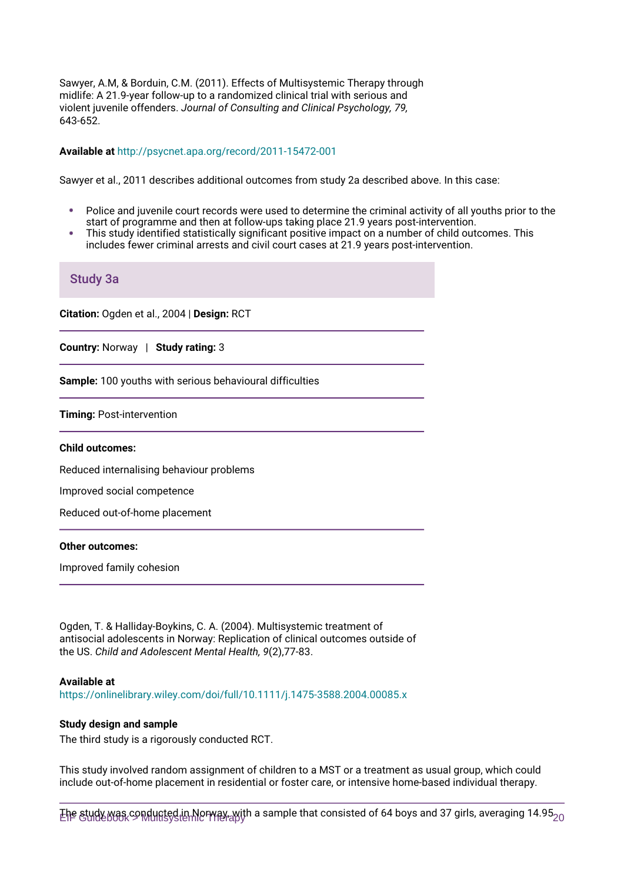Sawyer, A.M, & Borduin, C.M. (2011). Effects of Multisystemic Therapy through midlife: A 21.9-year follow-up to a randomized clinical trial with serious and violent juvenile offenders. *Journal of Consulting and Clinical Psychology, 79,* 643-652.

### **Available at** <http://psycnet.apa.org/record/2011-15472-001>

Sawyer et al., 2011 describes additional outcomes from study 2a described above. In this case:

- Police and juvenile court records were used to determine the criminal activity of all youths prior to the start of programme and then at follow-ups taking place 21.9 years post-intervention.
- This study identified statistically significant positive impact on a number of child outcomes. This ٠ includes fewer criminal arrests and civil court cases at 21.9 years post-intervention.

### **Study 3a**

**Citation:** Ogden et al., 2004 | **Design:** RCT

**Country:** Norway | **Study rating:** 3

**Sample:** 100 youths with serious behavioural difficulties

**Timing:** Post-intervention

#### **Child outcomes:**

Reduced internalising behaviour problems

Improved social competence

Reduced out-of-home placement

#### **Other outcomes:**

Improved family cohesion

Ogden, T. & Halliday-Boykins, C. A. (2004). Multisystemic treatment of antisocial adolescents in Norway: Replication of clinical outcomes outside of the US. *Child and Adolescent Mental Health, 9*(2),77-83.

### **Available at**

<https://onlinelibrary.wiley.com/doi/full/10.1111/j.1475-3588.2004.00085.x>

### **Study design and sample**

The third study is a rigorously conducted RCT.

This study involved random assignment of children to a MST or a treatment as usual group, which could include out-of-home placement in residential or foster care, or intensive home-based individual therapy.

Ehe &udy was  $\varsigma$ ഉന്ധിന്ദ്ര്യ in Norway, with a sample that consisted of 64 boys and 37 girls, averaging 14.95 $_{20}$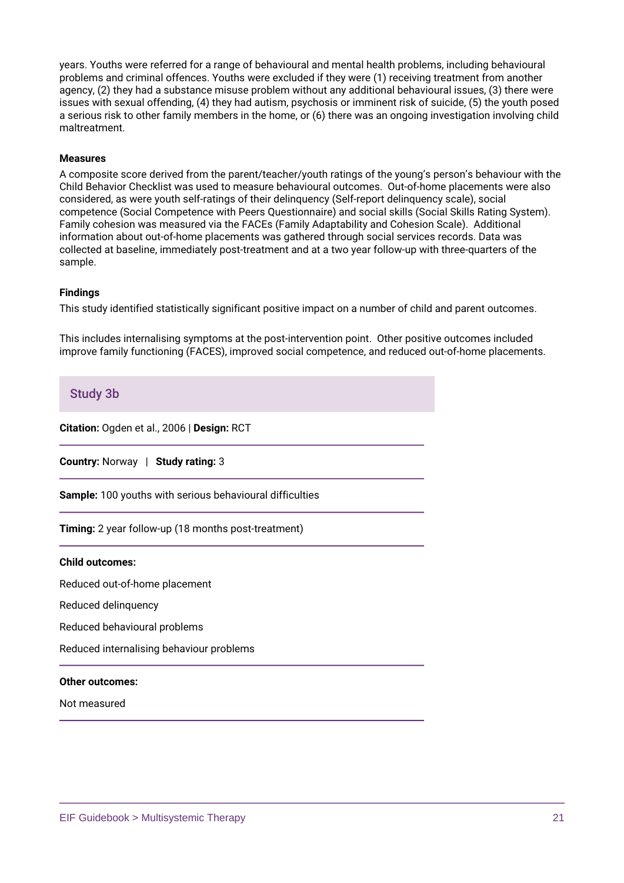years. Youths were referred for a range of behavioural and mental health problems, including behavioural problems and criminal offences. Youths were excluded if they were (1) receiving treatment from another agency, (2) they had a substance misuse problem without any additional behavioural issues, (3) there were issues with sexual offending, (4) they had autism, psychosis or imminent risk of suicide, (5) the youth posed a serious risk to other family members in the home, or (6) there was an ongoing investigation involving child maltreatment.

### **Measures**

A composite score derived from the parent/teacher/youth ratings of the young's person's behaviour with the Child Behavior Checklist was used to measure behavioural outcomes. Out-of-home placements were also considered, as were youth self-ratings of their delinquency (Self-report delinquency scale), social competence (Social Competence with Peers Questionnaire) and social skills (Social Skills Rating System). Family cohesion was measured via the FACEs (Family Adaptability and Cohesion Scale). Additional information about out-of-home placements was gathered through social services records. Data was collected at baseline, immediately post-treatment and at a two year follow-up with three-quarters of the sample.

### **Findings**

This study identified statistically significant positive impact on a number of child and parent outcomes.

This includes internalising symptoms at the post-intervention point. Other positive outcomes included improve family functioning (FACES), improved social competence, and reduced out-of-home placements.

# **Study 3b**

**Citation:** Ogden et al., 2006 | **Design:** RCT

**Country:** Norway | **Study rating:** 3

**Sample:** 100 youths with serious behavioural difficulties

**Timing:** 2 year follow-up (18 months post-treatment)

### **Child outcomes:**

Reduced out-of-home placement

Reduced delinquency

Reduced behavioural problems

Reduced internalising behaviour problems

#### **Other outcomes:**

Not measured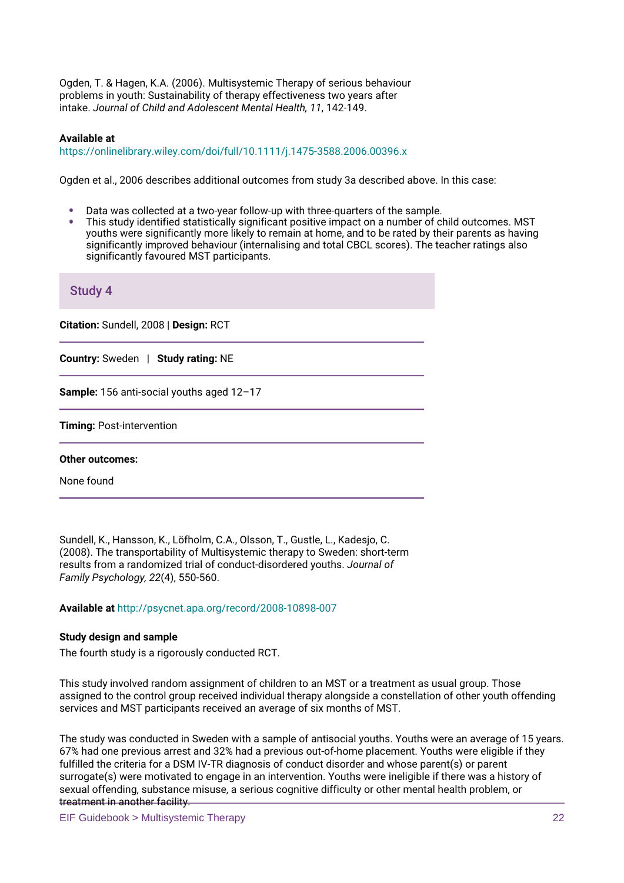Ogden, T. & Hagen, K.A. (2006). Multisystemic Therapy of serious behaviour problems in youth: Sustainability of therapy effectiveness two years after intake. *Journal of Child and Adolescent Mental Health, 11*, 142-149.

### **Available at**

<https://onlinelibrary.wiley.com/doi/full/10.1111/j.1475-3588.2006.00396.x>

Ogden et al., 2006 describes additional outcomes from study 3a described above. In this case:

- Data was collected at a two-year follow-up with three-quarters of the sample.
- This study identified statistically significant positive impact on a number of child outcomes. MST youths were significantly more likely to remain at home, and to be rated by their parents as having significantly improved behaviour (internalising and total CBCL scores). The teacher ratings also significantly favoured MST participants.

| <b>Study 4</b>                            |
|-------------------------------------------|
| Citation: Sundell, 2008   Design: RCT     |
| Country: Sweden   Study rating: NE        |
| Sample: 156 anti-social youths aged 12-17 |
| Timing: Post-intervention                 |
| <b>Other outcomes:</b>                    |
| None found                                |

Sundell, K., Hansson, K., Löfholm, C.A., Olsson, T., Gustle, L., Kadesjo, C. (2008). The transportability of Multisystemic therapy to Sweden: short-term results from a randomized trial of conduct-disordered youths. *Journal of Family Psychology, 22*(4), 550-560.

**Available at** <http://psycnet.apa.org/record/2008-10898-007>

### **Study design and sample**

The fourth study is a rigorously conducted RCT.

This study involved random assignment of children to an MST or a treatment as usual group. Those assigned to the control group received individual therapy alongside a constellation of other youth offending services and MST participants received an average of six months of MST.

The study was conducted in Sweden with a sample of antisocial youths. Youths were an average of 15 years. 67% had one previous arrest and 32% had a previous out-of-home placement. Youths were eligible if they fulfilled the criteria for a DSM IV-TR diagnosis of conduct disorder and whose parent(s) or parent surrogate(s) were motivated to engage in an intervention. Youths were ineligible if there was a history of sexual offending, substance misuse, a serious cognitive difficulty or other mental health problem, or treatment in another facility.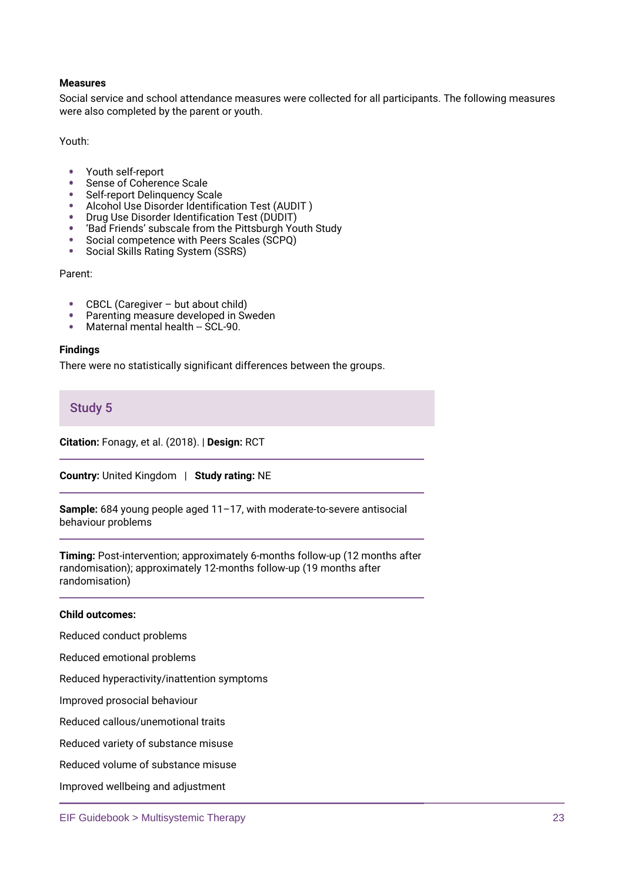### **Measures**

Social service and school attendance measures were collected for all participants. The following measures were also completed by the parent or youth.

Youth:

- $\bullet$ Youth self-report
- Sense of Coherence Scale
- Self-report Delinquency Scale
- Alcohol Use Disorder Identification Test (AUDIT )  $\bullet$
- Drug Use Disorder Identification Test (DUDIT)
- 'Bad Friends' subscale from the Pittsburgh Youth Study
- Social competence with Peers Scales (SCPQ)
- Social Skills Rating System (SSRS)  $\bullet$

Parent:

- CBCL (Caregiver but about child)  $\bullet$
- Parenting measure developed in Sweden
- Maternal mental health -- SCL-90.

### **Findings**

There were no statistically significant differences between the groups.

**Study 5**

**Citation:** Fonagy, et al. (2018). | **Design:** RCT

**Country:** United Kingdom | **Study rating:** NE

**Sample:** 684 young people aged 11–17, with moderate-to-severe antisocial behaviour problems

**Timing:** Post-intervention; approximately 6-months follow-up (12 months after randomisation); approximately 12-months follow-up (19 months after randomisation)

### **Child outcomes:**

Reduced conduct problems

Reduced emotional problems

Reduced hyperactivity/inattention symptoms

Improved prosocial behaviour

Reduced callous/unemotional traits

Reduced variety of substance misuse

Reduced volume of substance misuse

Improved wellbeing and adjustment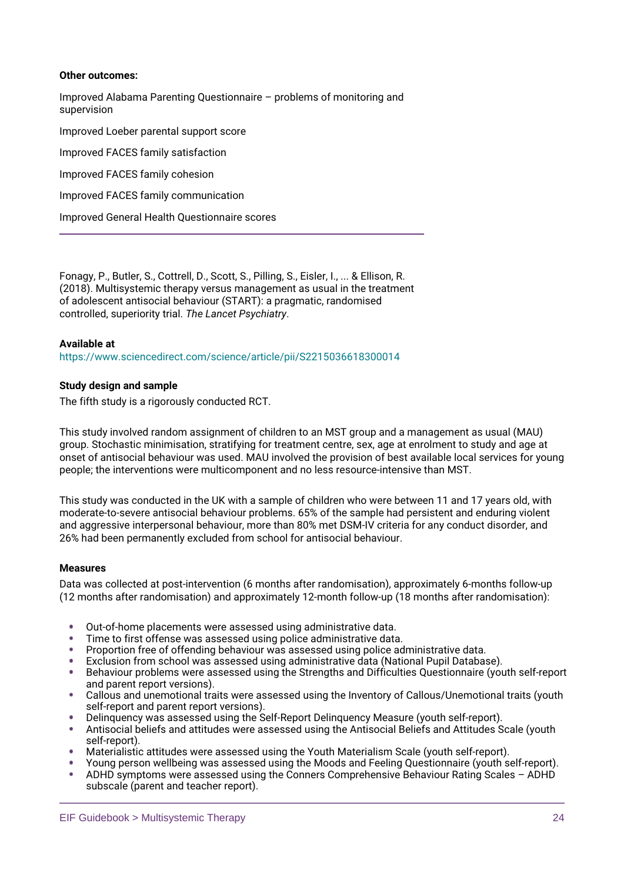### **Other outcomes:**

Improved Alabama Parenting Questionnaire – problems of monitoring and supervision Improved Loeber parental support score Improved FACES family satisfaction Improved FACES family cohesion Improved FACES family communication Improved General Health Questionnaire scores

Fonagy, P., Butler, S., Cottrell, D., Scott, S., Pilling, S., Eisler, I., ... & Ellison, R. (2018). Multisystemic therapy versus management as usual in the treatment of adolescent antisocial behaviour (START): a pragmatic, randomised controlled, superiority trial. *The Lancet Psychiatry*.

### **Available at**

<https://www.sciencedirect.com/science/article/pii/S2215036618300014>

### **Study design and sample**

The fifth study is a rigorously conducted RCT.

This study involved random assignment of children to an MST group and a management as usual (MAU) group. Stochastic minimisation, stratifying for treatment centre, sex, age at enrolment to study and age at onset of antisocial behaviour was used. MAU involved the provision of best available local services for young people; the interventions were multicomponent and no less resource-intensive than MST.

This study was conducted in the UK with a sample of children who were between 11 and 17 years old, with moderate-to-severe antisocial behaviour problems. 65% of the sample had persistent and enduring violent and aggressive interpersonal behaviour, more than 80% met DSM-IV criteria for any conduct disorder, and 26% had been permanently excluded from school for antisocial behaviour.

### **Measures**

Data was collected at post-intervention (6 months after randomisation), approximately 6-months follow-up (12 months after randomisation) and approximately 12-month follow-up (18 months after randomisation):

- Out-of-home placements were assessed using administrative data.
- Time to first offense was assessed using police administrative data.
- Proportion free of offending behaviour was assessed using police administrative data.
- Exclusion from school was assessed using administrative data (National Pupil Database).
- Behaviour problems were assessed using the Strengths and Difficulties Questionnaire (youth self-report and parent report versions).
- Callous and unemotional traits were assessed using the Inventory of Callous/Unemotional traits (youth self-report and parent report versions).
- Delinquency was assessed using the Self-Report Delinquency Measure (youth self-report).
- Antisocial beliefs and attitudes were assessed using the Antisocial Beliefs and Attitudes Scale (youth self-report).
- Materialistic attitudes were assessed using the Youth Materialism Scale (youth self-report).
- Young person wellbeing was assessed using the Moods and Feeling Questionnaire (youth self-report).
- ADHD symptoms were assessed using the Conners Comprehensive Behaviour Rating Scales ADHD subscale (parent and teacher report).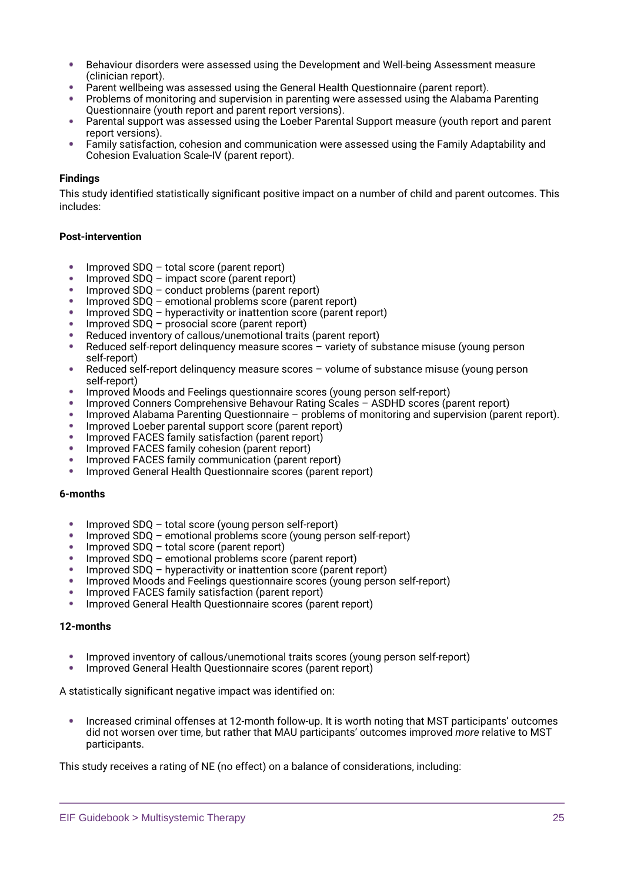- Behaviour disorders were assessed using the Development and Well-being Assessment measure ٠ (clinician report).
- Parent wellbeing was assessed using the General Health Questionnaire (parent report).
- Problems of monitoring and supervision in parenting were assessed using the Alabama Parenting Questionnaire (youth report and parent report versions).
- Parental support was assessed using the Loeber Parental Support measure (youth report and parent report versions).
- Family satisfaction, cohesion and communication were assessed using the Family Adaptability and Cohesion Evaluation Scale-IV (parent report).

### **Findings**

This study identified statistically significant positive impact on a number of child and parent outcomes. This includes:

### **Post-intervention**

- ٠ Improved SDQ – total score (parent report)
- Improved SDQ impact score (parent report)
- Improved SDQ conduct problems (parent report)
- Improved SDQ emotional problems score (parent report)
- Improved SDQ hyperactivity or inattention score (parent report)
- Improved SDQ prosocial score (parent report)
- Reduced inventory of callous/unemotional traits (parent report)
- Reduced self-report delinquency measure scores variety of substance misuse (young person self-report)
- Reduced self-report delinquency measure scores volume of substance misuse (young person self-report)
- Improved Moods and Feelings questionnaire scores (young person self-report)
- Improved Conners Comprehensive Behavour Rating Scales ASDHD scores (parent report)
- Improved Alabama Parenting Questionnaire problems of monitoring and supervision (parent report).
- Improved Loeber parental support score (parent report)
- Improved FACES family satisfaction (parent report)
- Improved FACES family cohesion (parent report)
- Improved FACES family communication (parent report)
- Improved General Health Questionnaire scores (parent report)

### **6-months**

- Improved SDQ total score (young person self-report)
- Improved SDQ emotional problems score (young person self-report)
- Improved SDQ total score (parent report)
- Improved SDQ emotional problems score (parent report)
- Improved SDQ hyperactivity or inattention score (parent report)
- Improved Moods and Feelings questionnaire scores (young person self-report)
- Improved FACES family satisfaction (parent report)
- Improved General Health Questionnaire scores (parent report)

### **12-months**

- Improved inventory of callous/unemotional traits scores (young person self-report)
- Improved General Health Questionnaire scores (parent report)

A statistically significant negative impact was identified on:

Increased criminal offenses at 12-month follow-up. It is worth noting that MST participants' outcomes did not worsen over time, but rather that MAU participants' outcomes improved *more* relative to MST participants.

This study receives a rating of NE (no effect) on a balance of considerations, including: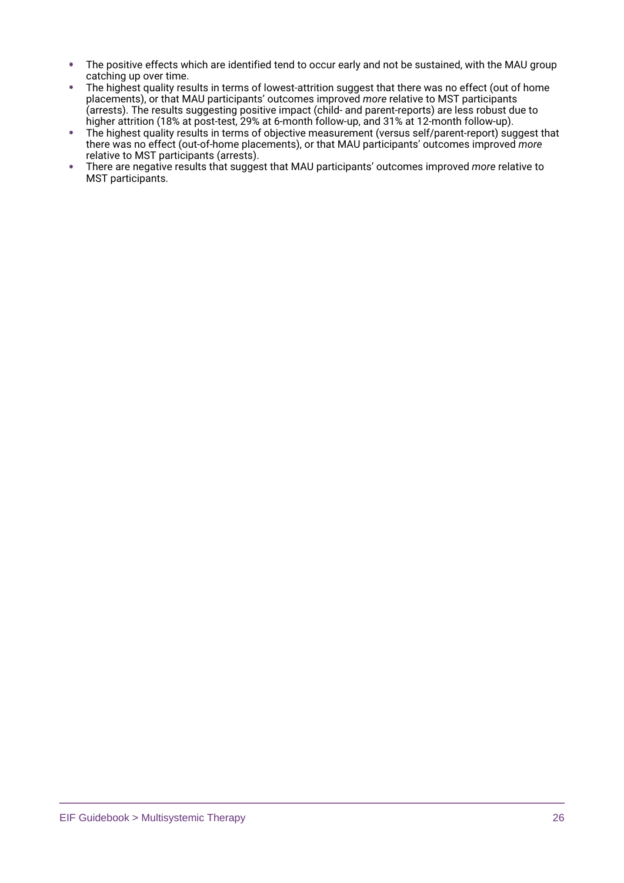- The positive effects which are identified tend to occur early and not be sustained, with the MAU group ٠ catching up over time.
- The highest quality results in terms of lowest-attrition suggest that there was no effect (out of home ٠ placements), or that MAU participants' outcomes improved *more* relative to MST participants (arrests). The results suggesting positive impact (child- and parent-reports) are less robust due to higher attrition (18% at post-test, 29% at 6-month follow-up, and 31% at 12-month follow-up).
- $\bullet$ The highest quality results in terms of objective measurement (versus self/parent-report) suggest that there was no effect (out-of-home placements), or that MAU participants' outcomes improved *more*  relative to MST participants (arrests).
- ¥ There are negative results that suggest that MAU participants' outcomes improved *more* relative to MST participants.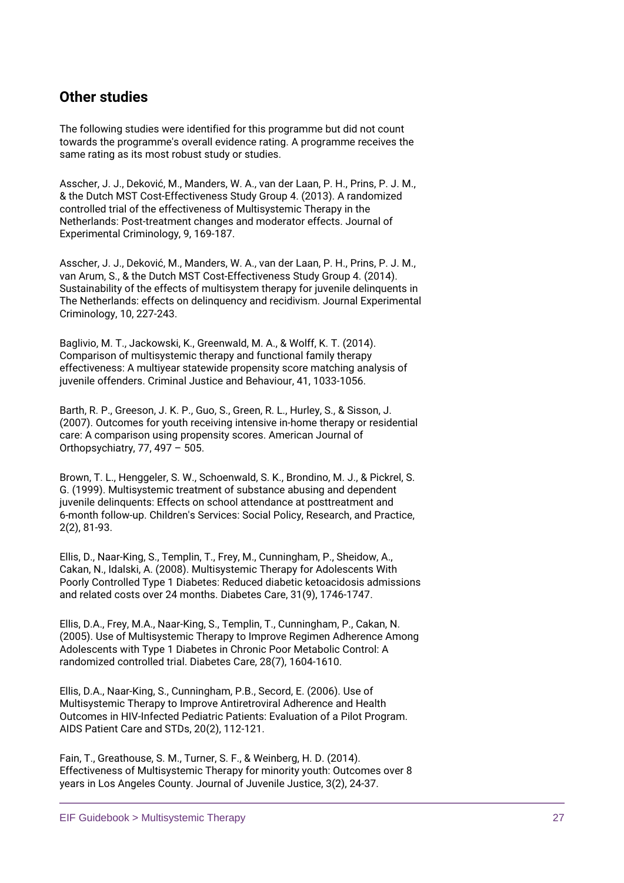# **Other studies**

The following studies were identified for this programme but did not count towards the programme's overall evidence rating. A programme receives the same rating as its most robust study or studies.

Asscher, J. J., Deković, M., Manders, W. A., van der Laan, P. H., Prins, P. J. M., & the Dutch MST Cost-Effectiveness Study Group 4. (2013). A randomized controlled trial of the effectiveness of Multisystemic Therapy in the Netherlands: Post-treatment changes and moderator effects. Journal of Experimental Criminology, 9, 169-187.

Asscher, J. J., Deković, M., Manders, W. A., van der Laan, P. H., Prins, P. J. M., van Arum, S., & the Dutch MST Cost-Effectiveness Study Group 4. (2014). Sustainability of the effects of multisystem therapy for juvenile delinquents in The Netherlands: effects on delinquency and recidivism. Journal Experimental Criminology, 10, 227-243.

Baglivio, M. T., Jackowski, K., Greenwald, M. A., & Wolff, K. T. (2014). Comparison of multisystemic therapy and functional family therapy effectiveness: A multiyear statewide propensity score matching analysis of juvenile offenders. Criminal Justice and Behaviour, 41, 1033-1056.

Barth, R. P., Greeson, J. K. P., Guo, S., Green, R. L., Hurley, S., & Sisson, J. (2007). Outcomes for youth receiving intensive in-home therapy or residential care: A comparison using propensity scores. American Journal of Orthopsychiatry, 77, 497 – 505.

Brown, T. L., Henggeler, S. W., Schoenwald, S. K., Brondino, M. J., & Pickrel, S. G. (1999). Multisystemic treatment of substance abusing and dependent juvenile delinquents: Effects on school attendance at posttreatment and 6-month follow-up. Children's Services: Social Policy, Research, and Practice, 2(2), 81-93.

Ellis, D., Naar-King, S., Templin, T., Frey, M., Cunningham, P., Sheidow, A., Cakan, N., Idalski, A. (2008). Multisystemic Therapy for Adolescents With Poorly Controlled Type 1 Diabetes: Reduced diabetic ketoacidosis admissions and related costs over 24 months. Diabetes Care, 31(9), 1746-1747.

Ellis, D.A., Frey, M.A., Naar-King, S., Templin, T., Cunningham, P., Cakan, N. (2005). Use of Multisystemic Therapy to Improve Regimen Adherence Among Adolescents with Type 1 Diabetes in Chronic Poor Metabolic Control: A randomized controlled trial. Diabetes Care, 28(7), 1604-1610.

Ellis, D.A., Naar-King, S., Cunningham, P.B., Secord, E. (2006). Use of Multisystemic Therapy to Improve Antiretroviral Adherence and Health Outcomes in HIV-Infected Pediatric Patients: Evaluation of a Pilot Program. AIDS Patient Care and STDs, 20(2), 112-121.

Fain, T., Greathouse, S. M., Turner, S. F., & Weinberg, H. D. (2014). Effectiveness of Multisystemic Therapy for minority youth: Outcomes over 8 years in Los Angeles County. Journal of Juvenile Justice, 3(2), 24-37.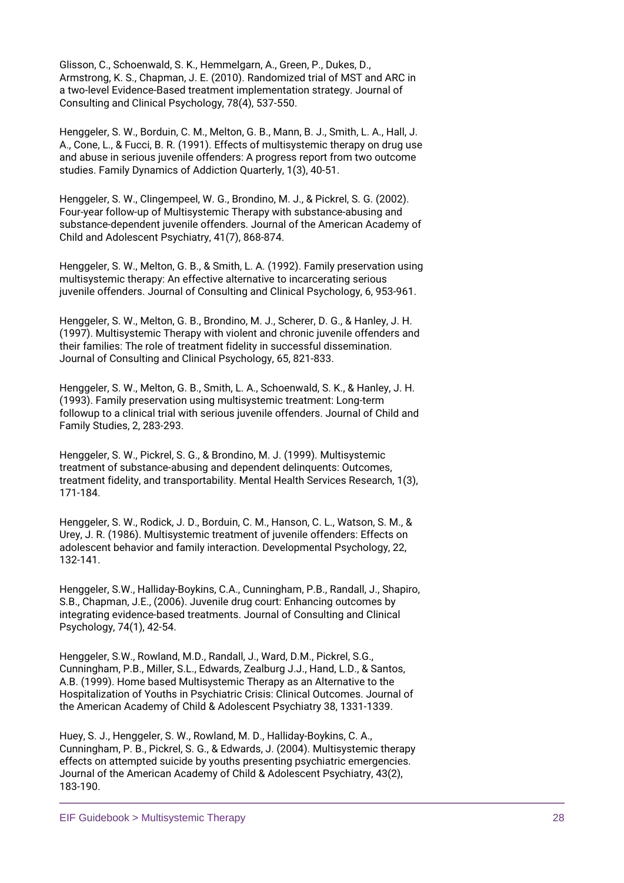Glisson, C., Schoenwald, S. K., Hemmelgarn, A., Green, P., Dukes, D., Armstrong, K. S., Chapman, J. E. (2010). Randomized trial of MST and ARC in a two-level Evidence-Based treatment implementation strategy. Journal of Consulting and Clinical Psychology, 78(4), 537-550.

Henggeler, S. W., Borduin, C. M., Melton, G. B., Mann, B. J., Smith, L. A., Hall, J. A., Cone, L., & Fucci, B. R. (1991). Effects of multisystemic therapy on drug use and abuse in serious juvenile offenders: A progress report from two outcome studies. Family Dynamics of Addiction Quarterly, 1(3), 40-51.

Henggeler, S. W., Clingempeel, W. G., Brondino, M. J., & Pickrel, S. G. (2002). Four-year follow-up of Multisystemic Therapy with substance-abusing and substance-dependent juvenile offenders. Journal of the American Academy of Child and Adolescent Psychiatry, 41(7), 868-874.

Henggeler, S. W., Melton, G. B., & Smith, L. A. (1992). Family preservation using multisystemic therapy: An effective alternative to incarcerating serious juvenile offenders. Journal of Consulting and Clinical Psychology, 6, 953-961.

Henggeler, S. W., Melton, G. B., Brondino, M. J., Scherer, D. G., & Hanley, J. H. (1997). Multisystemic Therapy with violent and chronic juvenile offenders and their families: The role of treatment fidelity in successful dissemination. Journal of Consulting and Clinical Psychology, 65, 821-833.

Henggeler, S. W., Melton, G. B., Smith, L. A., Schoenwald, S. K., & Hanley, J. H. (1993). Family preservation using multisystemic treatment: Long-term followup to a clinical trial with serious juvenile offenders. Journal of Child and Family Studies, 2, 283-293.

Henggeler, S. W., Pickrel, S. G., & Brondino, M. J. (1999). Multisystemic treatment of substance-abusing and dependent delinquents: Outcomes, treatment fidelity, and transportability. Mental Health Services Research, 1(3), 171-184.

Henggeler, S. W., Rodick, J. D., Borduin, C. M., Hanson, C. L., Watson, S. M., & Urey, J. R. (1986). Multisystemic treatment of juvenile offenders: Effects on adolescent behavior and family interaction. Developmental Psychology, 22, 132-141.

Henggeler, S.W., Halliday-Boykins, C.A., Cunningham, P.B., Randall, J., Shapiro, S.B., Chapman, J.E., (2006). Juvenile drug court: Enhancing outcomes by integrating evidence-based treatments. Journal of Consulting and Clinical Psychology, 74(1), 42-54.

Henggeler, S.W., Rowland, M.D., Randall, J., Ward, D.M., Pickrel, S.G., Cunningham, P.B., Miller, S.L., Edwards, Zealburg J.J., Hand, L.D., & Santos, A.B. (1999). Home based Multisystemic Therapy as an Alternative to the Hospitalization of Youths in Psychiatric Crisis: Clinical Outcomes. Journal of the American Academy of Child & Adolescent Psychiatry 38, 1331-1339.

Huey, S. J., Henggeler, S. W., Rowland, M. D., Halliday-Boykins, C. A., Cunningham, P. B., Pickrel, S. G., & Edwards, J. (2004). Multisystemic therapy effects on attempted suicide by youths presenting psychiatric emergencies. Journal of the American Academy of Child & Adolescent Psychiatry, 43(2), 183-190.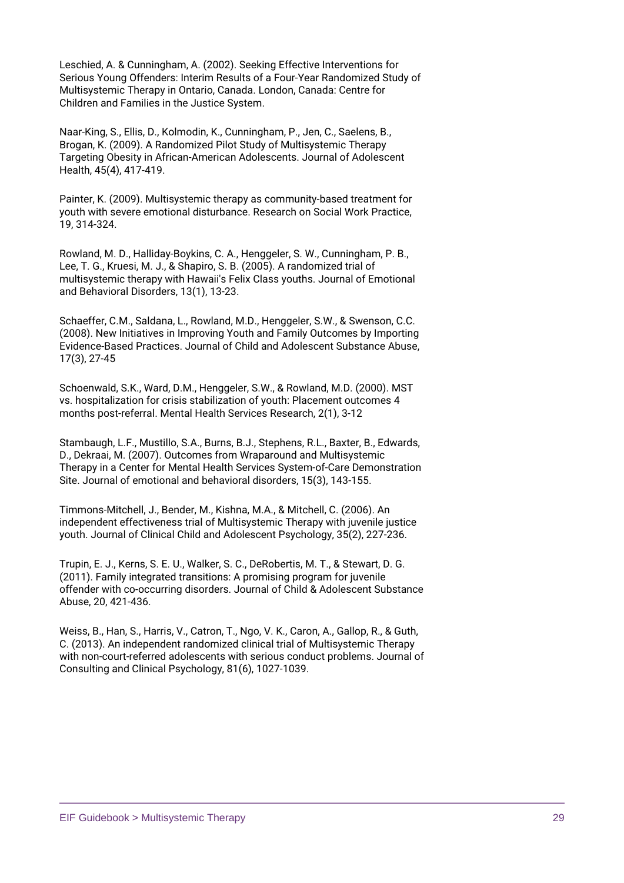Leschied, A. & Cunningham, A. (2002). Seeking Effective Interventions for Serious Young Offenders: Interim Results of a Four-Year Randomized Study of Multisystemic Therapy in Ontario, Canada. London, Canada: Centre for Children and Families in the Justice System.

Naar-King, S., Ellis, D., Kolmodin, K., Cunningham, P., Jen, C., Saelens, B., Brogan, K. (2009). A Randomized Pilot Study of Multisystemic Therapy Targeting Obesity in African-American Adolescents. Journal of Adolescent Health, 45(4), 417-419.

Painter, K. (2009). Multisystemic therapy as community-based treatment for youth with severe emotional disturbance. Research on Social Work Practice, 19, 314-324.

Rowland, M. D., Halliday-Boykins, C. A., Henggeler, S. W., Cunningham, P. B., Lee, T. G., Kruesi, M. J., & Shapiro, S. B. (2005). A randomized trial of multisystemic therapy with Hawaii's Felix Class youths. Journal of Emotional and Behavioral Disorders, 13(1), 13-23.

Schaeffer, C.M., Saldana, L., Rowland, M.D., Henggeler, S.W., & Swenson, C.C. (2008). New Initiatives in Improving Youth and Family Outcomes by Importing Evidence-Based Practices. Journal of Child and Adolescent Substance Abuse, 17(3), 27-45

Schoenwald, S.K., Ward, D.M., Henggeler, S.W., & Rowland, M.D. (2000). MST vs. hospitalization for crisis stabilization of youth: Placement outcomes 4 months post-referral. Mental Health Services Research, 2(1), 3-12

Stambaugh, L.F., Mustillo, S.A., Burns, B.J., Stephens, R.L., Baxter, B., Edwards, D., Dekraai, M. (2007). Outcomes from Wraparound and Multisystemic Therapy in a Center for Mental Health Services System-of-Care Demonstration Site. Journal of emotional and behavioral disorders, 15(3), 143-155.

Timmons-Mitchell, J., Bender, M., Kishna, M.A., & Mitchell, C. (2006). An independent effectiveness trial of Multisystemic Therapy with juvenile justice youth. Journal of Clinical Child and Adolescent Psychology, 35(2), 227-236.

Trupin, E. J., Kerns, S. E. U., Walker, S. C., DeRobertis, M. T., & Stewart, D. G. (2011). Family integrated transitions: A promising program for juvenile offender with co-occurring disorders. Journal of Child & Adolescent Substance Abuse, 20, 421-436.

Weiss, B., Han, S., Harris, V., Catron, T., Ngo, V. K., Caron, A., Gallop, R., & Guth, C. (2013). An independent randomized clinical trial of Multisystemic Therapy with non-court-referred adolescents with serious conduct problems. Journal of Consulting and Clinical Psychology, 81(6), 1027-1039.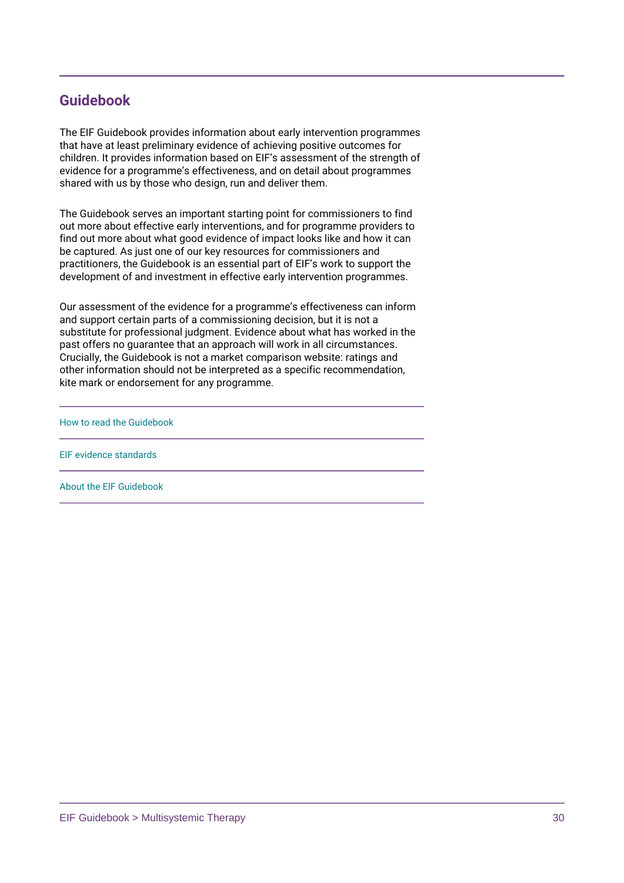# **Guidebook**

The EIF Guidebook provides information about early intervention programmes that have at least preliminary evidence of achieving positive outcomes for children. It provides information based on EIF's assessment of the strength of evidence for a programme's effectiveness, and on detail about programmes shared with us by those who design, run and deliver them.

The Guidebook serves an important starting point for commissioners to find out more about effective early interventions, and for programme providers to find out more about what good evidence of impact looks like and how it can be captured. As just one of our key resources for commissioners and practitioners, the Guidebook is an essential part of EIF's work to support the development of and investment in effective early intervention programmes.

Our assessment of the evidence for a programme's effectiveness can inform and support certain parts of a commissioning decision, but it is not a substitute for professional judgment. Evidence about what has worked in the past offers no guarantee that an approach will work in all circumstances. Crucially, the Guidebook is not a market comparison website: ratings and other information should not be interpreted as a specific recommendation, kite mark or endorsement for any programme.

[How to read the Guidebook](https://guidebook.eif.org.uk/guidebook-help/how-to-read-the-guidebook)

[EIF evidence standards](https://guidebook.eif.org.uk/eif-evidence-standards)

[About the EIF Guidebook](https://guidebook.eif.org.uk/about-the-guidebook)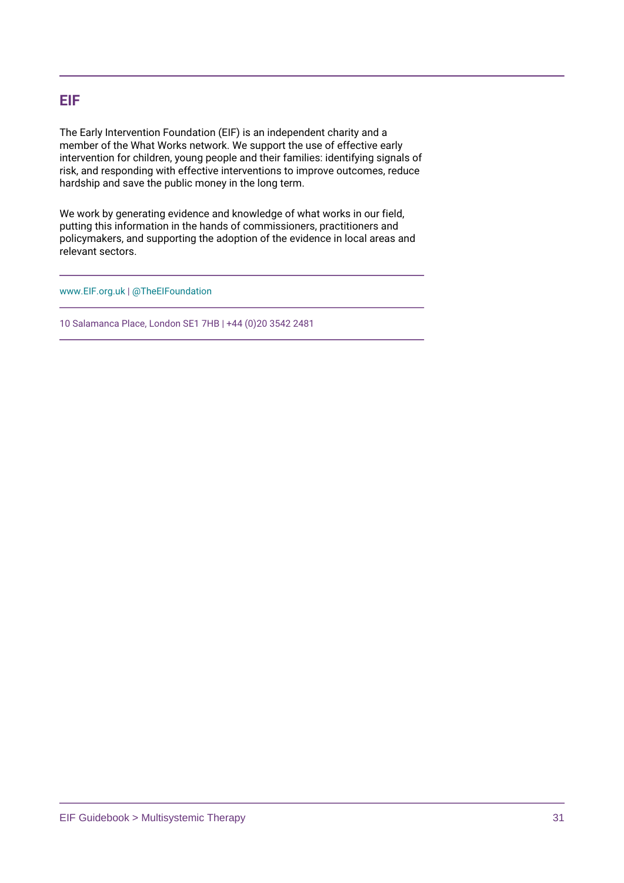# **EIF**

The Early Intervention Foundation (EIF) is an independent charity and a member of the What Works network. We support the use of effective early intervention for children, young people and their families: identifying signals of risk, and responding with effective interventions to improve outcomes, reduce hardship and save the public money in the long term.

We work by generating evidence and knowledge of what works in our field, putting this information in the hands of commissioners, practitioners and policymakers, and supporting the adoption of the evidence in local areas and relevant sectors.

[www.EIF.org.uk](https://www.eif.org.uk/) | [@TheEIFoundation](https://twitter.com/TheEIFoundation)

10 Salamanca Place, London SE1 7HB | +44 (0)20 3542 2481